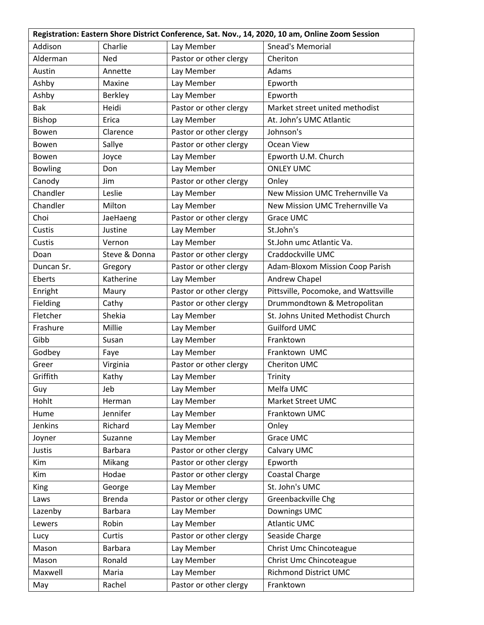| Registration: Eastern Shore District Conference, Sat. Nov., 14, 2020, 10 am, Online Zoom Session |                |                        |                                      |  |
|--------------------------------------------------------------------------------------------------|----------------|------------------------|--------------------------------------|--|
| Addison                                                                                          | Charlie        | Lay Member             | <b>Snead's Memorial</b>              |  |
| Alderman                                                                                         | <b>Ned</b>     | Pastor or other clergy | Cheriton                             |  |
| Austin                                                                                           | Annette        | Lay Member             | Adams                                |  |
| Ashby                                                                                            | Maxine         | Lay Member             | Epworth                              |  |
| Ashby                                                                                            | <b>Berkley</b> | Lay Member             | Epworth                              |  |
| <b>Bak</b>                                                                                       | Heidi          | Pastor or other clergy | Market street united methodist       |  |
| Bishop                                                                                           | Erica          | Lay Member             | At. John's UMC Atlantic              |  |
| Bowen                                                                                            | Clarence       | Pastor or other clergy | Johnson's                            |  |
| Bowen                                                                                            | Sallye         | Pastor or other clergy | Ocean View                           |  |
| Bowen                                                                                            | Joyce          | Lay Member             | Epworth U.M. Church                  |  |
| <b>Bowling</b>                                                                                   | Don            | Lay Member             | <b>ONLEY UMC</b>                     |  |
| Canody                                                                                           | Jim            | Pastor or other clergy | Onley                                |  |
| Chandler                                                                                         | Leslie         | Lay Member             | New Mission UMC Trehernville Va      |  |
| Chandler                                                                                         | Milton         | Lay Member             | New Mission UMC Trehernville Va      |  |
| Choi                                                                                             | JaeHaeng       | Pastor or other clergy | Grace UMC                            |  |
| Custis                                                                                           | Justine        | Lay Member             | St.John's                            |  |
| Custis                                                                                           | Vernon         | Lay Member             | St.John umc Atlantic Va.             |  |
| Doan                                                                                             | Steve & Donna  | Pastor or other clergy | Craddockville UMC                    |  |
| Duncan Sr.                                                                                       | Gregory        | Pastor or other clergy | Adam-Bloxom Mission Coop Parish      |  |
| Eberts                                                                                           | Katherine      | Lay Member             | Andrew Chapel                        |  |
| Enright                                                                                          | Maury          | Pastor or other clergy | Pittsville, Pocomoke, and Wattsville |  |
| Fielding                                                                                         | Cathy          | Pastor or other clergy | Drummondtown & Metropolitan          |  |
| Fletcher                                                                                         | Shekia         | Lay Member             | St. Johns United Methodist Church    |  |
| Frashure                                                                                         | Millie         | Lay Member             | <b>Guilford UMC</b>                  |  |
| Gibb                                                                                             | Susan          | Lay Member             | Franktown                            |  |
| Godbey                                                                                           | Faye           | Lay Member             | Franktown UMC                        |  |
| Greer                                                                                            | Virginia       | Pastor or other clergy | Cheriton UMC                         |  |
| Griffith                                                                                         | Kathy          | Lay Member             | Trinity                              |  |
| Guy                                                                                              | Jeb            | Lay Member             | Melfa UMC                            |  |
| Hohlt                                                                                            | Herman         | Lay Member             | Market Street UMC                    |  |
| Hume                                                                                             | Jennifer       | Lay Member             | Franktown UMC                        |  |
| Jenkins                                                                                          | Richard        | Lay Member             | Onley                                |  |
| Joyner                                                                                           | Suzanne        | Lay Member             | Grace UMC                            |  |
| Justis                                                                                           | <b>Barbara</b> | Pastor or other clergy | Calvary UMC                          |  |
| Kim                                                                                              | Mikang         | Pastor or other clergy | Epworth                              |  |
| Kim                                                                                              | Hodae          | Pastor or other clergy | Coastal Charge                       |  |
| King                                                                                             | George         | Lay Member             | St. John's UMC                       |  |
| Laws                                                                                             | <b>Brenda</b>  | Pastor or other clergy | Greenbackville Chg                   |  |
| Lazenby                                                                                          | <b>Barbara</b> | Lay Member             | Downings UMC                         |  |
| Lewers                                                                                           | Robin          | Lay Member             | <b>Atlantic UMC</b>                  |  |
| Lucy                                                                                             | Curtis         | Pastor or other clergy | Seaside Charge                       |  |
| Mason                                                                                            | <b>Barbara</b> | Lay Member             | Christ Umc Chincoteague              |  |
| Mason                                                                                            | Ronald         | Lay Member             | Christ Umc Chincoteague              |  |
| Maxwell                                                                                          | Maria          | Lay Member             | <b>Richmond District UMC</b>         |  |
| May                                                                                              | Rachel         | Pastor or other clergy | Franktown                            |  |